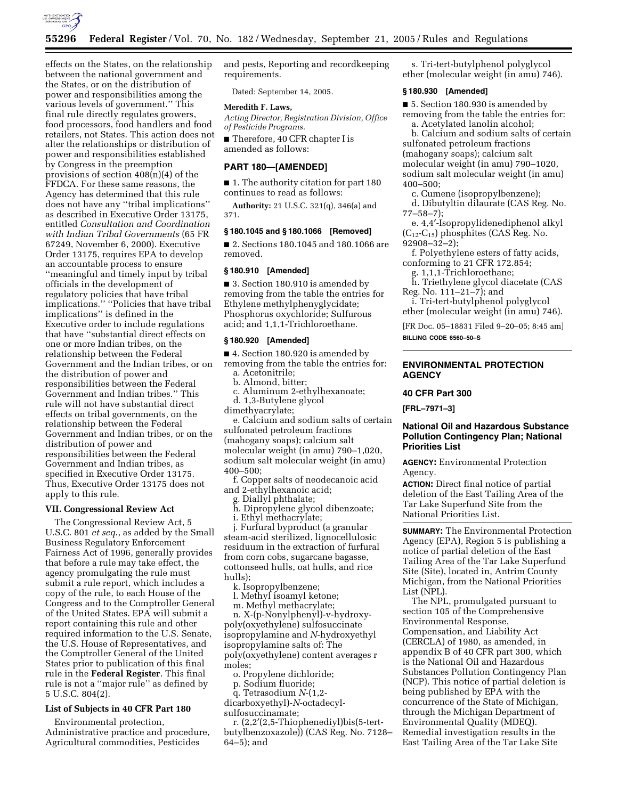

effects on the States, on the relationship between the national government and the States, or on the distribution of power and responsibilities among the various levels of government.'' This final rule directly regulates growers, food processors, food handlers and food retailers, not States. This action does not alter the relationships or distribution of power and responsibilities established by Congress in the preemption provisions of section 408(n)(4) of the FFDCA. For these same reasons, the Agency has determined that this rule does not have any ''tribal implications'' as described in Executive Order 13175, entitled *Consultation and Coordination with Indian Tribal Governments* (65 FR 67249, November 6, 2000). Executive Order 13175, requires EPA to develop an accountable process to ensure ''meaningful and timely input by tribal officials in the development of regulatory policies that have tribal implications.'' ''Policies that have tribal implications'' is defined in the Executive order to include regulations that have ''substantial direct effects on one or more Indian tribes, on the relationship between the Federal Government and the Indian tribes, or on the distribution of power and responsibilities between the Federal Government and Indian tribes.'' This rule will not have substantial direct effects on tribal governments, on the relationship between the Federal Government and Indian tribes, or on the distribution of power and responsibilities between the Federal Government and Indian tribes, as specified in Executive Order 13175. Thus, Executive Order 13175 does not apply to this rule.

## **VII. Congressional Review Act**

The Congressional Review Act, 5 U.S.C. 801 *et seq*., as added by the Small Business Regulatory Enforcement Fairness Act of 1996, generally provides that before a rule may take effect, the agency promulgating the rule must submit a rule report, which includes a copy of the rule, to each House of the Congress and to the Comptroller General of the United States. EPA will submit a report containing this rule and other required information to the U.S. Senate, the U.S. House of Representatives, and the Comptroller General of the United States prior to publication of this final rule in the **Federal Register**. This final rule is not a ''major rule'' as defined by 5 U.S.C. 804(2).

# **List of Subjects in 40 CFR Part 180**

Environmental protection, Administrative practice and procedure, Agricultural commodities, Pesticides

and pests, Reporting and recordkeeping requirements.

Dated: September 14, 2005.

### **Meredith F. Laws,**

*Acting Director, Registration Division, Office of Pesticide Programs.* 

■ Therefore, 40 CFR chapter I is amended as follows:

### **PART 180—[AMENDED]**

■ 1. The authority citation for part 180 continues to read as follows:

**Authority:** 21 U.S.C. 321(q), 346(a) and 371.

## **§ 180.1045 and § 180.1066 [Removed]**

■ 2. Sections 180.1045 and 180.1066 are removed.

### **§ 180.910 [Amended]**

■ 3. Section 180.910 is amended by removing from the table the entries for Ethylene methylphenyglycidate; Phosphorus oxychloride; Sulfurous acid; and 1,1,1-Trichloroethane.

#### **§ 180.920 [Amended]**

■ 4. Section 180.920 is amended by removing from the table the entries for: a. Acetonitrile;

b. Almond, bitter;

c. Aluminum 2-ethylhexanoate;

d. 1,3-Butylene glycol

dimethyacrylate;

e. Calcium and sodium salts of certain sulfonated petroleum fractions (mahogany soaps); calcium salt molecular weight (in amu) 790–1,020, sodium salt molecular weight (in amu) 400–500;

f. Copper salts of neodecanoic acid and 2-ethylhexanoic acid;

g. Diallyl phthalate;

h. Dipropylene glycol dibenzoate; i. Ethyl methacrylate;

j. Furfural byproduct (a granular steam-acid sterilized, lignocellulosic residuum in the extraction of furfural from corn cobs, sugarcane bagasse, cottonseed hulls, oat hulls, and rice hulls);

k. Isopropylbenzene;

l. Methyl isoamyl ketone;

m. Methyl methacrylate;

n. X-(p-Nonylphenyl)-v-hydroxypoly(oxyethylene) sulfosuccinate isopropylamine and *N*-hydroxyethyl isopropylamine salts of: The poly(oxyethylene) content averages r moles;

o. Propylene dichloride;

p. Sodium fluoride;

q. Tetrasodium *N*-(1,2-

dicarboxyethyl)-*N*-octadecylsulfosuccinamate;

r. (2,2′(2,5-Thiophenediyl)bis(5-tertbutylbenzoxazole)) (CAS Reg. No. 7128– 64–5); and

s. Tri-tert-butylphenol polyglycol ether (molecular weight (in amu) 746).

### **§ 180.930 [Amended]**

■ 5. Section 180.930 is amended by removing from the table the entries for: a. Acetylated lanolin alcohol;

b. Calcium and sodium salts of certain sulfonated petroleum fractions (mahogany soaps); calcium salt molecular weight (in amu) 790–1020, sodium salt molecular weight (in amu) 400–500;

c. Cumene (isopropylbenzene); d. Dibutyltin dilaurate (CAS Reg. No. 77–58–7);

e. 4,4′-Isopropylidenediphenol alkyl  $(C_{12}-C_{15})$  phosphites (CAS Reg. No. 92908–32–2);

f. Polyethylene esters of fatty acids, conforming to 21 CFR 172.854;

g. 1,1,1-Trichloroethane;

h. Triethylene glycol diacetate (CAS Reg. No. 111–21–7); and

i. Tri-tert-butylphenol polyglycol ether (molecular weight (in amu) 746).

[FR Doc. 05–18831 Filed 9–20–05; 8:45 am] **BILLING CODE 6560–50–S** 

# **ENVIRONMENTAL PROTECTION AGENCY**

### **40 CFR Part 300**

**[FRL–7971–3]** 

## **National Oil and Hazardous Substance Pollution Contingency Plan; National Priorities List**

**AGENCY:** Environmental Protection Agency.

**ACTION:** Direct final notice of partial deletion of the East Tailing Area of the Tar Lake Superfund Site from the National Priorities List.

**SUMMARY:** The Environmental Protection Agency (EPA), Region 5 is publishing a notice of partial deletion of the East Tailing Area of the Tar Lake Superfund Site (Site), located in, Antrim County Michigan, from the National Priorities List (NPL).

The NPL, promulgated pursuant to section 105 of the Comprehensive Environmental Response, Compensation, and Liability Act (CERCLA) of 1980, as amended, in appendix B of 40 CFR part 300, which is the National Oil and Hazardous Substances Pollution Contingency Plan (NCP). This notice of partial deletion is being published by EPA with the concurrence of the State of Michigan, through the Michigan Department of Environmental Quality (MDEQ). Remedial investigation results in the East Tailing Area of the Tar Lake Site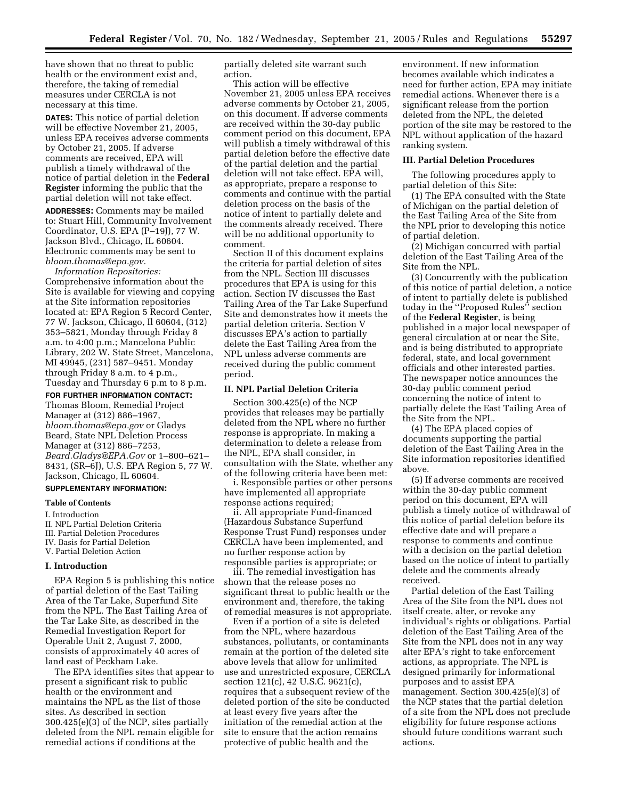have shown that no threat to public health or the environment exist and, therefore, the taking of remedial measures under CERCLA is not necessary at this time.

**DATES:** This notice of partial deletion will be effective November 21, 2005, unless EPA receives adverse comments by October 21, 2005. If adverse comments are received, EPA will publish a timely withdrawal of the notice of partial deletion in the **Federal Register** informing the public that the partial deletion will not take effect.

**ADDRESSES:** Comments may be mailed to: Stuart Hill, Community Involvement Coordinator, U.S. EPA (P–19J), 77 W. Jackson Blvd., Chicago, IL 60604. Electronic comments may be sent to *bloom.thomas@epa.gov.* 

*Information Repositories:*  Comprehensive information about the Site is available for viewing and copying at the Site information repositories located at: EPA Region 5 Record Center, 77 W. Jackson, Chicago, Il 60604, (312) 353–5821, Monday through Friday 8 a.m. to 4:00 p.m.; Mancelona Public Library, 202 W. State Street, Mancelona, MI 49945, (231) 587–9451. Monday through Friday 8 a.m. to 4 p.m., Tuesday and Thursday 6 p.m to 8 p.m.

**FOR FURTHER INFORMATION CONTACT:**  Thomas Bloom, Remedial Project Manager at (312) 886–1967, *bloom.thomas@epa.gov* or Gladys Beard, State NPL Deletion Process Manager at (312) 886–7253, *Beard.Gladys@EPA.Gov* or 1–800–621– 8431, (SR–6J), U.S. EPA Region 5, 77 W. Jackson, Chicago, IL 60604.

### **SUPPLEMENTARY INFORMATION:**

# **Table of Contents**

I. Introduction

II. NPL Partial Deletion Criteria III. Partial Deletion Procedures IV. Basis for Partial Deletion V. Partial Deletion Action

### **I. Introduction**

EPA Region 5 is publishing this notice of partial deletion of the East Tailing Area of the Tar Lake, Superfund Site from the NPL. The East Tailing Area of the Tar Lake Site, as described in the Remedial Investigation Report for Operable Unit 2, August 7, 2000, consists of approximately 40 acres of land east of Peckham Lake.

The EPA identifies sites that appear to present a significant risk to public health or the environment and maintains the NPL as the list of those sites. As described in section 300.425(e)(3) of the NCP, sites partially deleted from the NPL remain eligible for remedial actions if conditions at the

partially deleted site warrant such action.

This action will be effective November 21, 2005 unless EPA receives adverse comments by October 21, 2005, on this document. If adverse comments are received within the 30-day public comment period on this document, EPA will publish a timely withdrawal of this partial deletion before the effective date of the partial deletion and the partial deletion will not take effect. EPA will, as appropriate, prepare a response to comments and continue with the partial deletion process on the basis of the notice of intent to partially delete and the comments already received. There will be no additional opportunity to comment.

Section II of this document explains the criteria for partial deletion of sites from the NPL. Section III discusses procedures that EPA is using for this action. Section IV discusses the East Tailing Area of the Tar Lake Superfund Site and demonstrates how it meets the partial deletion criteria. Section V discusses EPA's action to partially delete the East Tailing Area from the NPL unless adverse comments are received during the public comment period.

### **II. NPL Partial Deletion Criteria**

Section 300.425(e) of the NCP provides that releases may be partially deleted from the NPL where no further response is appropriate. In making a determination to delete a release from the NPL, EPA shall consider, in consultation with the State, whether any of the following criteria have been met:

i. Responsible parties or other persons have implemented all appropriate response actions required;

ii. All appropriate Fund-financed (Hazardous Substance Superfund Response Trust Fund) responses under CERCLA have been implemented, and no further response action by responsible parties is appropriate; or

iii. The remedial investigation has shown that the release poses no significant threat to public health or the environment and, therefore, the taking of remedial measures is not appropriate.

Even if a portion of a site is deleted from the NPL, where hazardous substances, pollutants, or contaminants remain at the portion of the deleted site above levels that allow for unlimited use and unrestricted exposure, CERCLA section 121(c), 42 U.S.C. 9621(c), requires that a subsequent review of the deleted portion of the site be conducted at least every five years after the initiation of the remedial action at the site to ensure that the action remains protective of public health and the

environment. If new information becomes available which indicates a need for further action, EPA may initiate remedial actions. Whenever there is a significant release from the portion deleted from the NPL, the deleted portion of the site may be restored to the NPL without application of the hazard ranking system.

## **III. Partial Deletion Procedures**

The following procedures apply to partial deletion of this Site:

(1) The EPA consulted with the State of Michigan on the partial deletion of the East Tailing Area of the Site from the NPL prior to developing this notice of partial deletion.

(2) Michigan concurred with partial deletion of the East Tailing Area of the Site from the NPL.

(3) Concurrently with the publication of this notice of partial deletion, a notice of intent to partially delete is published today in the ''Proposed Rules'' section of the **Federal Register**, is being published in a major local newspaper of general circulation at or near the Site, and is being distributed to appropriate federal, state, and local government officials and other interested parties. The newspaper notice announces the 30-day public comment period concerning the notice of intent to partially delete the East Tailing Area of the Site from the NPL.

(4) The EPA placed copies of documents supporting the partial deletion of the East Tailing Area in the Site information repositories identified above.

(5) If adverse comments are received within the 30-day public comment period on this document, EPA will publish a timely notice of withdrawal of this notice of partial deletion before its effective date and will prepare a response to comments and continue with a decision on the partial deletion based on the notice of intent to partially delete and the comments already received.

Partial deletion of the East Tailing Area of the Site from the NPL does not itself create, alter, or revoke any individual's rights or obligations. Partial deletion of the East Tailing Area of the Site from the NPL does not in any way alter EPA's right to take enforcement actions, as appropriate. The NPL is designed primarily for informational purposes and to assist EPA management. Section 300.425(e)(3) of the NCP states that the partial deletion of a site from the NPL does not preclude eligibility for future response actions should future conditions warrant such actions.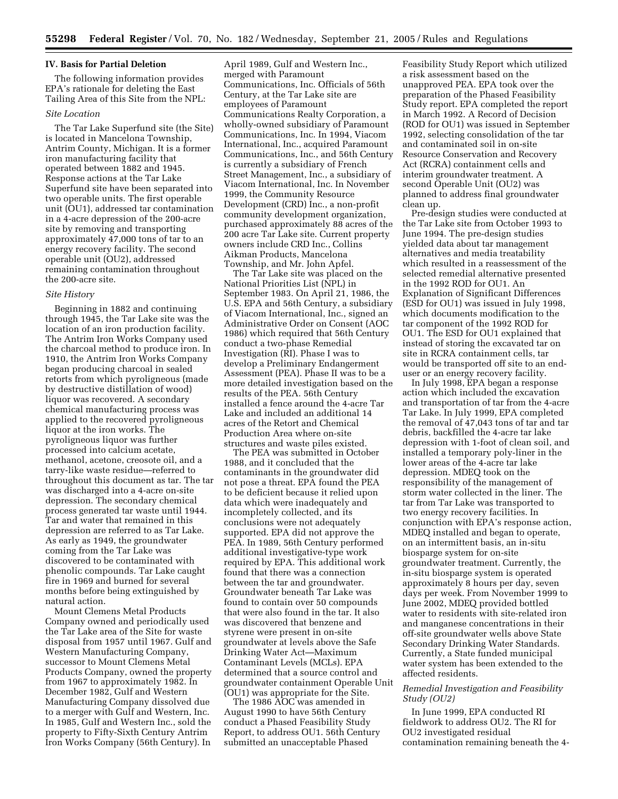### **IV. Basis for Partial Deletion**

The following information provides EPA's rationale for deleting the East Tailing Area of this Site from the NPL:

### *Site Location*

The Tar Lake Superfund site (the Site) is located in Mancelona Township, Antrim County, Michigan. It is a former iron manufacturing facility that operated between 1882 and 1945. Response actions at the Tar Lake Superfund site have been separated into two operable units. The first operable unit (OU1), addressed tar contamination in a 4-acre depression of the 200-acre site by removing and transporting approximately 47,000 tons of tar to an energy recovery facility. The second operable unit (OU2), addressed remaining contamination throughout the 200-acre site.

#### *Site History*

Beginning in 1882 and continuing through 1945, the Tar Lake site was the location of an iron production facility. The Antrim Iron Works Company used the charcoal method to produce iron. In 1910, the Antrim Iron Works Company began producing charcoal in sealed retorts from which pyroligneous (made by destructive distillation of wood) liquor was recovered. A secondary chemical manufacturing process was applied to the recovered pyroligneous liquor at the iron works. The pyroligneous liquor was further processed into calcium acetate, methanol, acetone, creosote oil, and a tarry-like waste residue—referred to throughout this document as tar. The tar was discharged into a 4-acre on-site depression. The secondary chemical process generated tar waste until 1944. Tar and water that remained in this depression are referred to as Tar Lake. As early as 1949, the groundwater coming from the Tar Lake was discovered to be contaminated with phenolic compounds. Tar Lake caught fire in 1969 and burned for several months before being extinguished by natural action.

Mount Clemens Metal Products Company owned and periodically used the Tar Lake area of the Site for waste disposal from 1957 until 1967. Gulf and Western Manufacturing Company, successor to Mount Clemens Metal Products Company, owned the property from 1967 to approximately 1982. In December 1982, Gulf and Western Manufacturing Company dissolved due to a merger with Gulf and Western, Inc. In 1985, Gulf and Western Inc., sold the property to Fifty-Sixth Century Antrim Iron Works Company (56th Century). In

April 1989, Gulf and Western Inc., merged with Paramount Communications, Inc. Officials of 56th Century, at the Tar Lake site are employees of Paramount Communications Realty Corporation, a wholly-owned subsidiary of Paramount Communications, Inc. In 1994, Viacom International, Inc., acquired Paramount Communications, Inc., and 56th Century is currently a subsidiary of French Street Management, Inc., a subsidiary of Viacom International, Inc. In November 1999, the Community Resource Development (CRD) Inc., a non-profit community development organization, purchased approximately 88 acres of the 200 acre Tar Lake site. Current property owners include CRD Inc., Collins Aikman Products, Mancelona Township, and Mr. John Apfel.

The Tar Lake site was placed on the National Priorities List (NPL) in September 1983. On April 21, 1986, the U.S. EPA and 56th Century, a subsidiary of Viacom International, Inc., signed an Administrative Order on Consent (AOC 1986) which required that 56th Century conduct a two-phase Remedial Investigation (RI). Phase I was to develop a Preliminary Endangerment Assessment (PEA). Phase II was to be a more detailed investigation based on the results of the PEA. 56th Century installed a fence around the 4-acre Tar Lake and included an additional 14 acres of the Retort and Chemical Production Area where on-site structures and waste piles existed.

The PEA was submitted in October 1988, and it concluded that the contaminants in the groundwater did not pose a threat. EPA found the PEA to be deficient because it relied upon data which were inadequately and incompletely collected, and its conclusions were not adequately supported. EPA did not approve the PEA. In 1989, 56th Century performed additional investigative-type work required by EPA. This additional work found that there was a connection between the tar and groundwater. Groundwater beneath Tar Lake was found to contain over 50 compounds that were also found in the tar. It also was discovered that benzene and styrene were present in on-site groundwater at levels above the Safe Drinking Water Act—Maximum Contaminant Levels (MCLs). EPA determined that a source control and groundwater containment Operable Unit (OU1) was appropriate for the Site.

The 1986 AOC was amended in August 1990 to have 56th Century conduct a Phased Feasibility Study Report, to address OU1. 56th Century submitted an unacceptable Phased

Feasibility Study Report which utilized a risk assessment based on the unapproved PEA. EPA took over the preparation of the Phased Feasibility Study report. EPA completed the report in March 1992. A Record of Decision (ROD for OU1) was issued in September 1992, selecting consolidation of the tar and contaminated soil in on-site Resource Conservation and Recovery Act (RCRA) containment cells and interim groundwater treatment. A second Operable Unit (OU2) was planned to address final groundwater clean up.

Pre-design studies were conducted at the Tar Lake site from October 1993 to June 1994. The pre-design studies yielded data about tar management alternatives and media treatability which resulted in a reassessment of the selected remedial alternative presented in the 1992 ROD for OU1. An Explanation of Significant Differences (ESD for OU1) was issued in July 1998, which documents modification to the tar component of the 1992 ROD for OU1. The ESD for OU1 explained that instead of storing the excavated tar on site in RCRA containment cells, tar would be transported off site to an enduser or an energy recovery facility.

In July 1998, EPA began a response action which included the excavation and transportation of tar from the 4-acre Tar Lake. In July 1999, EPA completed the removal of 47,043 tons of tar and tar debris, backfilled the 4-acre tar lake depression with 1-foot of clean soil, and installed a temporary poly-liner in the lower areas of the 4-acre tar lake depression. MDEQ took on the responsibility of the management of storm water collected in the liner. The tar from Tar Lake was transported to two energy recovery facilities. In conjunction with EPA's response action, MDEQ installed and began to operate, on an intermittent basis, an in-situ biosparge system for on-site groundwater treatment. Currently, the in-situ biosparge system is operated approximately 8 hours per day, seven days per week. From November 1999 to June 2002, MDEQ provided bottled water to residents with site-related iron and manganese concentrations in their off-site groundwater wells above State Secondary Drinking Water Standards. Currently, a State funded municipal water system has been extended to the affected residents.

# *Remedial Investigation and Feasibility Study (OU2)*

In June 1999, EPA conducted RI fieldwork to address OU2. The RI for OU2 investigated residual contamination remaining beneath the 4-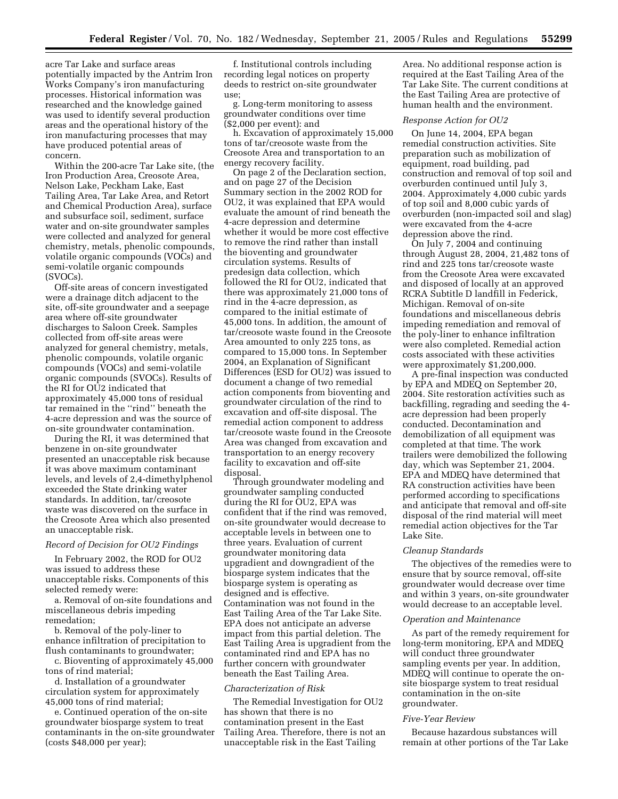acre Tar Lake and surface areas potentially impacted by the Antrim Iron Works Company's iron manufacturing processes. Historical information was researched and the knowledge gained was used to identify several production areas and the operational history of the iron manufacturing processes that may have produced potential areas of concern.

Within the 200-acre Tar Lake site, (the Iron Production Area, Creosote Area, Nelson Lake, Peckham Lake, East Tailing Area, Tar Lake Area, and Retort and Chemical Production Area), surface and subsurface soil, sediment, surface water and on-site groundwater samples were collected and analyzed for general chemistry, metals, phenolic compounds, volatile organic compounds (VOCs) and semi-volatile organic compounds (SVOCs).

Off-site areas of concern investigated were a drainage ditch adjacent to the site, off-site groundwater and a seepage area where off-site groundwater discharges to Saloon Creek. Samples collected from off-site areas were analyzed for general chemistry, metals, phenolic compounds, volatile organic compounds (VOCs) and semi-volatile organic compounds (SVOCs). Results of the RI for OU2 indicated that approximately 45,000 tons of residual tar remained in the ''rind'' beneath the 4-acre depression and was the source of on-site groundwater contamination.

During the RI, it was determined that benzene in on-site groundwater presented an unacceptable risk because it was above maximum contaminant levels, and levels of 2,4-dimethylphenol exceeded the State drinking water standards. In addition, tar/creosote waste was discovered on the surface in the Creosote Area which also presented an unacceptable risk.

## *Record of Decision for OU2 Findings*

In February 2002, the ROD for OU2 was issued to address these unacceptable risks. Components of this selected remedy were:

a. Removal of on-site foundations and miscellaneous debris impeding remedation;

b. Removal of the poly-liner to enhance infiltration of precipitation to flush contaminants to groundwater;

c. Bioventing of approximately 45,000 tons of rind material;

d. Installation of a groundwater circulation system for approximately 45,000 tons of rind material;

e. Continued operation of the on-site groundwater biosparge system to treat contaminants in the on-site groundwater (costs \$48,000 per year);

f. Institutional controls including recording legal notices on property deeds to restrict on-site groundwater use;

g. Long-term monitoring to assess groundwater conditions over time (\$2,000 per event): and

h. Excavation of approximately 15,000 tons of tar/creosote waste from the Creosote Area and transportation to an energy recovery facility.

On page 2 of the Declaration section, and on page 27 of the Decision Summary section in the 2002 ROD for OU2, it was explained that EPA would evaluate the amount of rind beneath the 4-acre depression and determine whether it would be more cost effective to remove the rind rather than install the bioventing and groundwater circulation systems. Results of predesign data collection, which followed the RI for OU2, indicated that there was approximately 21,000 tons of rind in the 4-acre depression, as compared to the initial estimate of 45,000 tons. In addition, the amount of tar/creosote waste found in the Creosote Area amounted to only 225 tons, as compared to 15,000 tons. In September 2004, an Explanation of Significant Differences (ESD for OU2) was issued to document a change of two remedial action components from bioventing and groundwater circulation of the rind to excavation and off-site disposal. The remedial action component to address tar/creosote waste found in the Creosote Area was changed from excavation and transportation to an energy recovery facility to excavation and off-site disposal.

Through groundwater modeling and groundwater sampling conducted during the RI for OU2, EPA was confident that if the rind was removed, on-site groundwater would decrease to acceptable levels in between one to three years. Evaluation of current groundwater monitoring data upgradient and downgradient of the biosparge system indicates that the biosparge system is operating as designed and is effective. Contamination was not found in the East Tailing Area of the Tar Lake Site. EPA does not anticipate an adverse impact from this partial deletion. The East Tailing Area is upgradient from the contaminated rind and EPA has no further concern with groundwater beneath the East Tailing Area.

#### *Characterization of Risk*

The Remedial Investigation for OU2 has shown that there is no contamination present in the East Tailing Area. Therefore, there is not an unacceptable risk in the East Tailing

Area. No additional response action is required at the East Tailing Area of the Tar Lake Site. The current conditions at the East Tailing Area are protective of human health and the environment.

## *Response Action for OU2*

On June 14, 2004, EPA began remedial construction activities. Site preparation such as mobilization of equipment, road building, pad construction and removal of top soil and overburden continued until July 3, 2004. Approximately 4,000 cubic yards of top soil and 8,000 cubic yards of overburden (non-impacted soil and slag) were excavated from the 4-acre depression above the rind.

On July 7, 2004 and continuing through August 28, 2004, 21,482 tons of rind and 225 tons tar/creosote waste from the Creosote Area were excavated and disposed of locally at an approved RCRA Subtitle D landfill in Federick, Michigan. Removal of on-site foundations and miscellaneous debris impeding remediation and removal of the poly-liner to enhance infiltration were also completed. Remedial action costs associated with these activities were approximately \$1,200,000.

A pre-final inspection was conducted by EPA and MDEQ on September 20, 2004. Site restoration activities such as backfilling, regrading and seeding the 4 acre depression had been properly conducted. Decontamination and demobilization of all equipment was completed at that time. The work trailers were demobilized the following day, which was September 21, 2004. EPA and MDEQ have determined that RA construction activities have been performed according to specifications and anticipate that removal and off-site disposal of the rind material will meet remedial action objectives for the Tar Lake Site.

#### *Cleanup Standards*

The objectives of the remedies were to ensure that by source removal, off-site groundwater would decrease over time and within 3 years, on-site groundwater would decrease to an acceptable level.

### *Operation and Maintenance*

As part of the remedy requirement for long-term monitoring, EPA and MDEQ will conduct three groundwater sampling events per year. In addition, MDEQ will continue to operate the onsite biosparge system to treat residual contamination in the on-site groundwater.

#### *Five-Year Review*

Because hazardous substances will remain at other portions of the Tar Lake